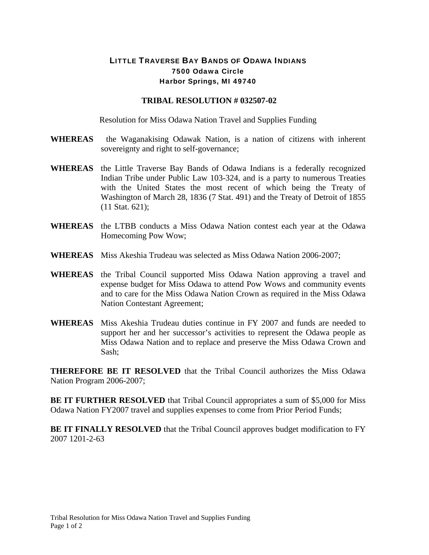## LITTLE TRAVERSE BAY BANDS OF ODAWA INDIANS 7500 Odawa Circle Harbor Springs, MI 49740

## **TRIBAL RESOLUTION # 032507-02**

Resolution for Miss Odawa Nation Travel and Supplies Funding

- **WHEREAS** the Waganakising Odawak Nation, is a nation of citizens with inherent sovereignty and right to self-governance;
- **WHEREAS** the Little Traverse Bay Bands of Odawa Indians is a federally recognized Indian Tribe under Public Law 103-324, and is a party to numerous Treaties with the United States the most recent of which being the Treaty of Washington of March 28, 1836 (7 Stat. 491) and the Treaty of Detroit of 1855 (11 Stat. 621);
- **WHEREAS** the LTBB conducts a Miss Odawa Nation contest each year at the Odawa Homecoming Pow Wow;
- **WHEREAS** Miss Akeshia Trudeau was selected as Miss Odawa Nation 2006-2007;
- **WHEREAS** the Tribal Council supported Miss Odawa Nation approving a travel and expense budget for Miss Odawa to attend Pow Wows and community events and to care for the Miss Odawa Nation Crown as required in the Miss Odawa Nation Contestant Agreement;
- **WHEREAS** Miss Akeshia Trudeau duties continue in FY 2007 and funds are needed to support her and her successor's activities to represent the Odawa people as Miss Odawa Nation and to replace and preserve the Miss Odawa Crown and Sash;

**THEREFORE BE IT RESOLVED** that the Tribal Council authorizes the Miss Odawa Nation Program 2006-2007;

**BE IT FURTHER RESOLVED** that Tribal Council appropriates a sum of \$5,000 for Miss Odawa Nation FY2007 travel and supplies expenses to come from Prior Period Funds;

**BE IT FINALLY RESOLVED** that the Tribal Council approves budget modification to FY 2007 1201-2-63